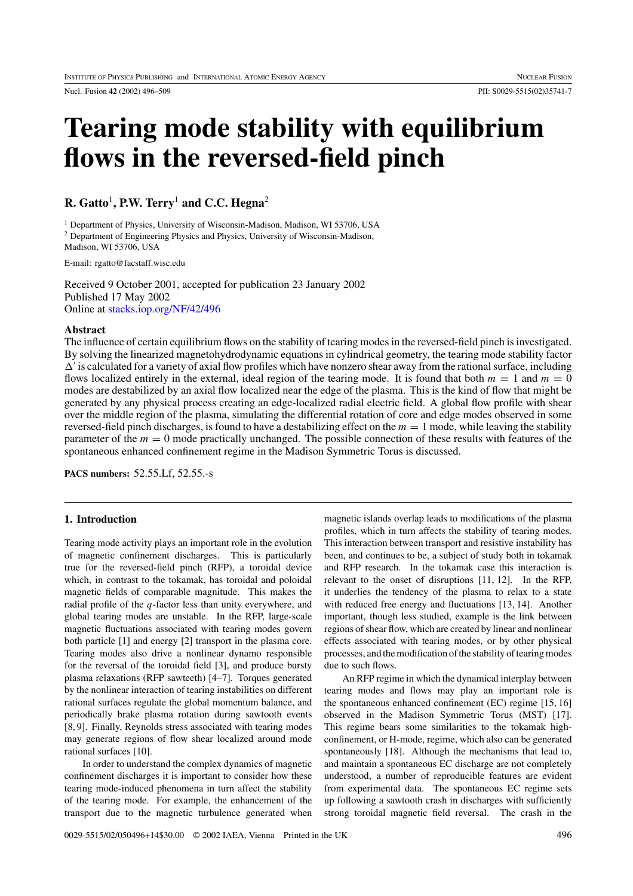Nucl. Fusion **42** (2002) 496–509 PII: S0029-5515(02)35741-7

# **Tearing mode stability with equilibrium flows in the reversed-field pinch**

**R. Gatto**<sup>1</sup>**, P.W. Terry**<sup>1</sup> **and C.C. Hegna**<sup>2</sup>

<sup>1</sup> Department of Physics, University of Wisconsin-Madison, Madison, WI 53706, USA <sup>2</sup> Department of Engineering Physics and Physics, University of Wisconsin-Madison, Madison, WI 53706, USA

E-mail: rgatto@facstaff.wisc.edu

Received 9 October 2001, accepted for publication 23 January 2002 Published 17 May 2002 Online at [stacks.iop.org/NF/42/496](http://stacks.iop.org/nf/42/496)

## **Abstract**

The influence of certain equilibrium flows on the stability of tearing modes in the reversed-field pinch is investigated. By solving the linearized magnetohydrodynamic equations in cylindrical geometry, the tearing mode stability factor  $\Delta'$  is calculated for a variety of axial flow profiles which have nonzero shear away from the rational surface, including flows localized entirely in the external, ideal region of the tearing mode. It is found that both  $m = 1$  and  $m = 0$ modes are destabilized by an axial flow localized near the edge of the plasma. This is the kind of flow that might be generated by any physical process creating an edge-localized radial electric field. A global flow profile with shear over the middle region of the plasma, simulating the differential rotation of core and edge modes observed in some reversed-field pinch discharges, is found to have a destabilizing effect on the  $m = 1$  mode, while leaving the stability parameter of the *m* = 0 mode practically unchanged. The possible connection of these results with features of the spontaneous enhanced confinement regime in the Madison Symmetric Torus is discussed.

**PACS numbers:** 52.55.Lf, 52.55.-s

#### **1. Introduction**

Tearing mode activity plays an important role in the evolution of magnetic confinement discharges. This is particularly true for the reversed-field pinch (RFP), a toroidal device which, in contrast to the tokamak, has toroidal and poloidal magnetic fields of comparable magnitude. This makes the radial profile of the *q*-factor less than unity everywhere, and global tearing modes are unstable. In the RFP, large-scale magnetic fluctuations associated with tearing modes govern both particle [1] and energy [2] transport in the plasma core. Tearing modes also drive a nonlinear dynamo responsible for the reversal of the toroidal field [3], and produce bursty plasma relaxations (RFP sawteeth) [4–7]. Torques generated by the nonlinear interaction of tearing instabilities on different rational surfaces regulate the global momentum balance, and periodically brake plasma rotation during sawtooth events [8, 9]. Finally, Reynolds stress associated with tearing modes may generate regions of flow shear localized around mode rational surfaces [10].

In order to understand the complex dynamics of magnetic confinement discharges it is important to consider how these tearing mode-induced phenomena in turn affect the stability of the tearing mode. For example, the enhancement of the transport due to the magnetic turbulence generated when

magnetic islands overlap leads to modifications of the plasma profiles, which in turn affects the stability of tearing modes. This interaction between transport and resistive instability has been, and continues to be, a subject of study both in tokamak and RFP research. In the tokamak case this interaction is relevant to the onset of disruptions [11, 12]. In the RFP, it underlies the tendency of the plasma to relax to a state with reduced free energy and fluctuations [13, 14]. Another important, though less studied, example is the link between regions of shear flow, which are created by linear and nonlinear effects associated with tearing modes, or by other physical processes, and the modification of the stability of tearing modes due to such flows.

An RFP regime in which the dynamical interplay between tearing modes and flows may play an important role is the spontaneous enhanced confinement (EC) regime [15, 16] observed in the Madison Symmetric Torus (MST) [17]. This regime bears some similarities to the tokamak highconfinement, or H-mode, regime, which also can be generated spontaneously [18]. Although the mechanisms that lead to, and maintain a spontaneous EC discharge are not completely understood, a number of reproducible features are evident from experimental data. The spontaneous EC regime sets up following a sawtooth crash in discharges with sufficiently strong toroidal magnetic field reversal. The crash in the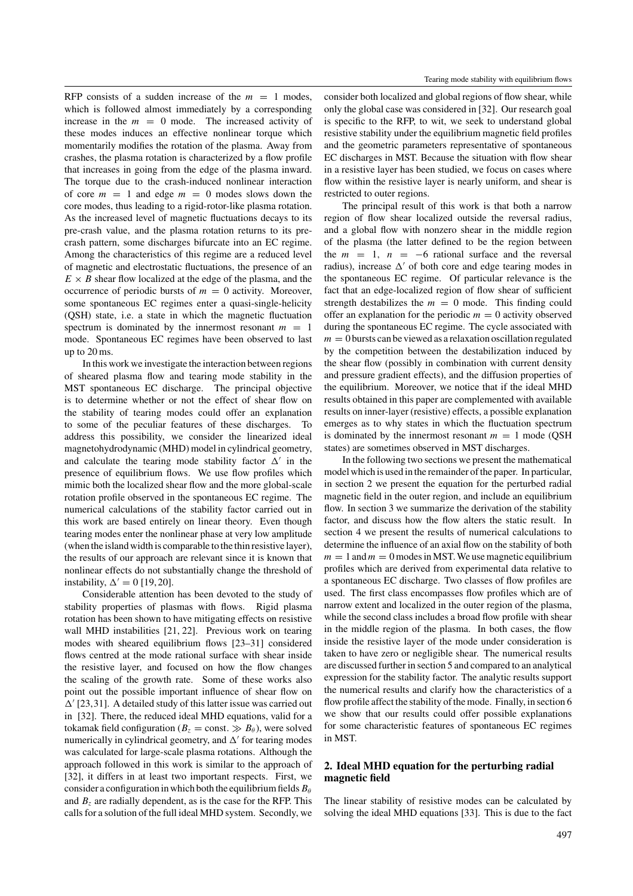RFP consists of a sudden increase of the  $m = 1$  modes, which is followed almost immediately by a corresponding increase in the  $m = 0$  mode. The increased activity of these modes induces an effective nonlinear torque which momentarily modifies the rotation of the plasma. Away from crashes, the plasma rotation is characterized by a flow profile that increases in going from the edge of the plasma inward. The torque due to the crash-induced nonlinear interaction of core  $m = 1$  and edge  $m = 0$  modes slows down the core modes, thus leading to a rigid-rotor-like plasma rotation. As the increased level of magnetic fluctuations decays to its pre-crash value, and the plasma rotation returns to its precrash pattern, some discharges bifurcate into an EC regime. Among the characteristics of this regime are a reduced level of magnetic and electrostatic fluctuations, the presence of an  $E \times B$  shear flow localized at the edge of the plasma, and the occurrence of periodic bursts of  $m = 0$  activity. Moreover, some spontaneous EC regimes enter a quasi-single-helicity (QSH) state, i.e. a state in which the magnetic fluctuation spectrum is dominated by the innermost resonant  $m = 1$ mode. Spontaneous EC regimes have been observed to last up to 20 ms.

In this work we investigate the interaction between regions of sheared plasma flow and tearing mode stability in the MST spontaneous EC discharge. The principal objective is to determine whether or not the effect of shear flow on the stability of tearing modes could offer an explanation to some of the peculiar features of these discharges. To address this possibility, we consider the linearized ideal magnetohydrodynamic (MHD) model in cylindrical geometry, and calculate the tearing mode stability factor  $\Delta'$  in the presence of equilibrium flows. We use flow profiles which mimic both the localized shear flow and the more global-scale rotation profile observed in the spontaneous EC regime. The numerical calculations of the stability factor carried out in this work are based entirely on linear theory. Even though tearing modes enter the nonlinear phase at very low amplitude (when the island width is comparable to the thin resistive layer), the results of our approach are relevant since it is known that nonlinear effects do not substantially change the threshold of instability,  $\Delta' = 0$  [19, 20].

Considerable attention has been devoted to the study of stability properties of plasmas with flows. Rigid plasma rotation has been shown to have mitigating effects on resistive wall MHD instabilities [21, 22]. Previous work on tearing modes with sheared equilibrium flows [23–31] considered flows centred at the mode rational surface with shear inside the resistive layer, and focused on how the flow changes the scaling of the growth rate. Some of these works also point out the possible important influence of shear flow on  $\Delta'$  [23,31]. A detailed study of this latter issue was carried out in [32]. There, the reduced ideal MHD equations, valid for a tokamak field configuration ( $B_z$  = const.  $\gg B_\theta$ ), were solved numerically in cylindrical geometry, and  $\Delta'$  for tearing modes was calculated for large-scale plasma rotations. Although the approach followed in this work is similar to the approach of [32], it differs in at least two important respects. First, we consider a configuration in which both the equilibrium fields  $B_\theta$ and  $B<sub>z</sub>$  are radially dependent, as is the case for the RFP. This calls for a solution of the full ideal MHD system. Secondly, we

consider both localized and global regions of flow shear, while only the global case was considered in [32]. Our research goal is specific to the RFP, to wit, we seek to understand global resistive stability under the equilibrium magnetic field profiles and the geometric parameters representative of spontaneous EC discharges in MST. Because the situation with flow shear in a resistive layer has been studied, we focus on cases where flow within the resistive layer is nearly uniform, and shear is restricted to outer regions.

The principal result of this work is that both a narrow region of flow shear localized outside the reversal radius, and a global flow with nonzero shear in the middle region of the plasma (the latter defined to be the region between the  $m = 1$ ,  $n = -6$  rational surface and the reversal radius), increase  $\Delta'$  of both core and edge tearing modes in the spontaneous EC regime. Of particular relevance is the fact that an edge-localized region of flow shear of sufficient strength destabilizes the  $m = 0$  mode. This finding could offer an explanation for the periodic  $m = 0$  activity observed during the spontaneous EC regime. The cycle associated with  $m = 0$  bursts can be viewed as a relaxation oscillation regulated by the competition between the destabilization induced by the shear flow (possibly in combination with current density and pressure gradient effects), and the diffusion properties of the equilibrium. Moreover, we notice that if the ideal MHD results obtained in this paper are complemented with available results on inner-layer (resistive) effects, a possible explanation emerges as to why states in which the fluctuation spectrum is dominated by the innermost resonant  $m = 1$  mode (QSH) states) are sometimes observed in MST discharges.

In the following two sections we present the mathematical model which is used in the remainder of the paper. In particular, in section 2 we present the equation for the perturbed radial magnetic field in the outer region, and include an equilibrium flow. In section 3 we summarize the derivation of the stability factor, and discuss how the flow alters the static result. In section 4 we present the results of numerical calculations to determine the influence of an axial flow on the stability of both  $m = 1$  and  $m = 0$  modes in MST. We use magnetic equilibrium profiles which are derived from experimental data relative to a spontaneous EC discharge. Two classes of flow profiles are used. The first class encompasses flow profiles which are of narrow extent and localized in the outer region of the plasma, while the second class includes a broad flow profile with shear in the middle region of the plasma. In both cases, the flow inside the resistive layer of the mode under consideration is taken to have zero or negligible shear. The numerical results are discussed further in section 5 and compared to an analytical expression for the stability factor. The analytic results support the numerical results and clarify how the characteristics of a flow profile affect the stability of the mode. Finally, in section 6 we show that our results could offer possible explanations for some characteristic features of spontaneous EC regimes in MST.

# **2. Ideal MHD equation for the perturbing radial magnetic field**

The linear stability of resistive modes can be calculated by solving the ideal MHD equations [33]. This is due to the fact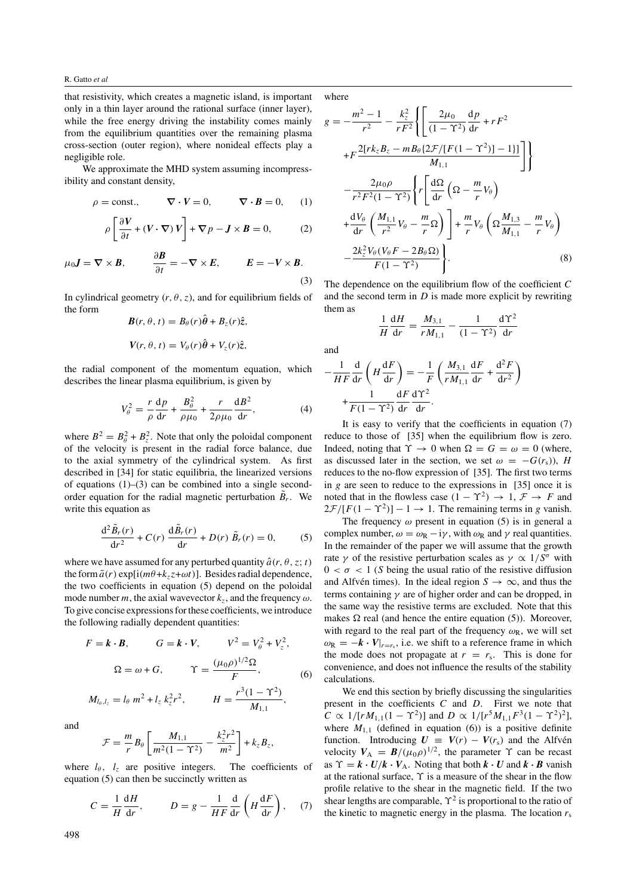that resistivity, which creates a magnetic island, is important only in a thin layer around the rational surface (inner layer), while the free energy driving the instability comes mainly from the equilibrium quantities over the remaining plasma cross-section (outer region), where nonideal effects play a negligible role.

We approximate the MHD system assuming incompressibility and constant density,

$$
\rho = \text{const.}, \qquad \nabla \cdot V = 0, \qquad \nabla \cdot B = 0, \qquad (1)
$$

$$
\rho \left[ \frac{\partial V}{\partial t} + (V \cdot \nabla) V \right] + \nabla p - \mathbf{J} \times \mathbf{B} = 0, \tag{2}
$$

$$
\mu_0 \mathbf{J} = \nabla \times \mathbf{B}, \qquad \frac{\partial \mathbf{B}}{\partial t} = -\nabla \times \mathbf{E}, \qquad \mathbf{E} = -V \times \mathbf{B}.
$$
\n(3)

In cylindrical geometry  $(r, \theta, z)$ , and for equilibrium fields of the form

$$
B(r, \theta, t) = B_{\theta}(r)\hat{\theta} + B_{z}(r)\hat{z},
$$
  

$$
V(r, \theta, t) = V_{\theta}(r)\hat{\theta} + V_{z}(r)\hat{z},
$$

the radial component of the momentum equation, which describes the linear plasma equilibrium, is given by

$$
V_{\theta}^2 = \frac{r}{\rho} \frac{\mathrm{d}p}{\mathrm{d}r} + \frac{B_{\theta}^2}{\rho \mu_0} + \frac{r}{2\rho \mu_0} \frac{\mathrm{d}B^2}{\mathrm{d}r},\tag{4}
$$

where  $B^2 = B_\theta^2 + B_z^2$ . Note that only the poloidal component of the velocity is present in the radial force balance, due to the axial symmetry of the cylindrical system. As first described in [34] for static equilibria, the linearized versions of equations (1)–(3) can be combined into a single secondorder equation for the radial magnetic perturbation  $\tilde{B}_r$ . We write this equation as

$$
\frac{\mathrm{d}^2 \tilde{B}_r(r)}{\mathrm{d}r^2} + C(r) \frac{\mathrm{d} \tilde{B}_r(r)}{\mathrm{d}r} + D(r) \tilde{B}_r(r) = 0, \quad (5)
$$

where we have assumed for any perturbed quantity  $\hat{a}(r, \theta, z; t)$ the form  $\tilde{a}(r)$  exp[i $(m\theta + k_z z + \omega t)$ ]. Besides radial dependence, the two coefficients in equation (5) depend on the poloidal mode number *m*, the axial wavevector  $k_z$ , and the frequency  $\omega$ . To give concise expressions for these coefficients, we introduce the following radially dependent quantities:

$$
F = \mathbf{k} \cdot \mathbf{B}, \qquad G = \mathbf{k} \cdot \mathbf{V}, \qquad V^2 = V_\theta^2 + V_z^2,
$$
  

$$
\Omega = \omega + G, \qquad \Upsilon = \frac{(\mu_0 \rho)^{1/2} \Omega}{F}, \qquad (6)
$$

$$
M_{l_{\theta},l_{z}} = l_{\theta} m^2 + l_{z} k_{z}^2 r^2
$$
,  $H = \frac{r^3(1 - \Upsilon^2)}{M_{1,1}}$ ,

and

$$
\mathcal{F} = \frac{m}{r} B_\theta \left[ \frac{M_{1,1}}{m^2 (1 - \Upsilon^2)} - \frac{k_z^2 r^2}{m^2} \right] + k_z B_z,
$$

where  $l_{\theta}$ ,  $l_{z}$  are positive integers. The coefficients of equation (5) can then be succinctly written as

$$
C = \frac{1}{H} \frac{dH}{dr}, \qquad D = g - \frac{1}{HF} \frac{d}{dr} \left( H \frac{dF}{dr} \right), \quad (7)
$$

where

$$
g = -\frac{m^2 - 1}{r^2} - \frac{k_z^2}{rF^2} \left\{ \left[ \frac{2\mu_0}{(1 - \Upsilon^2)} \frac{dp}{dr} + rF^2 + F \frac{2[rk_zB_z - mB_\theta[2\mathcal{F}/[F(1 - \Upsilon^2)] - 1)]}{M_{1,1}} \right] \right\}
$$
  

$$
- \frac{2\mu_0\rho}{r^2F^2(1 - \Upsilon^2)} \left\{ r \left[ \frac{d\Omega}{dr} \left( \Omega - \frac{m}{r} V_\theta \right) + \frac{dV_\theta}{dr} \left( \frac{M_{1,1}}{r^2} V_\theta - \frac{m}{r} \Omega \right) \right] + \frac{m}{r} V_\theta \left( \Omega \frac{M_{1,3}}{M_{1,1}} - \frac{m}{r} V_\theta \right) - \frac{2k_z^2 V_\theta (V_\theta F - 2B_\theta \Omega)}{F(1 - \Upsilon^2)} \right\}. \tag{8}
$$

The dependence on the equilibrium flow of the coefficient *C* and the second term in *D* is made more explicit by rewriting them as d*ϒ*<sup>2</sup>

$$
\frac{1}{H}\frac{dH}{dr} = \frac{M_{3,1}}{rM_{1,1}} - \frac{1}{(1-\Upsilon^2)}\frac{d\Upsilon}{dr}
$$

and

$$
-\frac{1}{HF}\frac{d}{dr}\left(H\frac{dF}{dr}\right) = -\frac{1}{F}\left(\frac{M_{3,1}}{rM_{1,1}}\frac{dF}{dr} + \frac{d^2F}{dr^2}\right) + \frac{1}{F(1-\Upsilon^2)}\frac{dF}{dr}\frac{d\Upsilon^2}{dr}.
$$

It is easy to verify that the coefficients in equation (7) reduce to those of [35] when the equilibrium flow is zero. Indeed, noting that  $\Upsilon \to 0$  when  $\Omega = G = \omega = 0$  (where, as discussed later in the section, we set  $\omega = -G(r_s)$ , *H* reduces to the no-flow expression of [35]. The first two terms in *g* are seen to reduce to the expressions in [35] once it is noted that in the flowless case  $(1 - \Upsilon^2) \rightarrow 1, \mathcal{F} \rightarrow F$  and  $2\mathcal{F}/[F(1-\Upsilon^2)]-1 \rightarrow 1$ . The remaining terms in *g* vanish.

The frequency  $\omega$  present in equation (5) is in general a complex number,  $\omega = \omega_R - i\gamma$ , with  $\omega_R$  and  $\gamma$  real quantities. In the remainder of the paper we will assume that the growth rate  $\gamma$  of the resistive perturbation scales as  $\gamma \propto 1/S^{\sigma}$  with  $0 < \sigma < 1$  (*S* being the usual ratio of the resistive diffusion and Alfvén times). In the ideal region  $S \to \infty$ , and thus the terms containing *γ* are of higher order and can be dropped, in the same way the resistive terms are excluded. Note that this makes  $\Omega$  real (and hence the entire equation (5)). Moreover, with regard to the real part of the frequency  $\omega_R$ , we will set  $\omega_R = -\mathbf{k} \cdot \mathbf{V}|_{r=r_s}$ , i.e. we shift to a reference frame in which the mode does not propagate at  $r = r<sub>s</sub>$ . This is done for convenience, and does not influence the results of the stability calculations.

We end this section by briefly discussing the singularities present in the coefficients *C* and *D*. First we note that  $C \propto 1/[rM_{1,1}(1 - \Upsilon^2)]$  and  $D \propto 1/[r^5M_{1,1}F^3(1 - \Upsilon^2)^2]$ , where  $M_{1,1}$  (defined in equation (6)) is a positive definite function. Introducing  $U = V(r) - V(r_s)$  and the Alfvén velocity  $V_A = B/(\mu_0 \rho)^{1/2}$ , the parameter  $\Upsilon$  can be recast as  $\Upsilon = \mathbf{k} \cdot \mathbf{U}/\mathbf{k} \cdot \mathbf{V}_{A}$ . Noting that both  $\mathbf{k} \cdot \mathbf{U}$  and  $\mathbf{k} \cdot \mathbf{B}$  vanish at the rational surface, *ϒ* is a measure of the shear in the flow profile relative to the shear in the magnetic field. If the two shear lengths are comparable,  $\Upsilon^2$  is proportional to the ratio of the kinetic to magnetic energy in the plasma. The location  $r_s$ 

498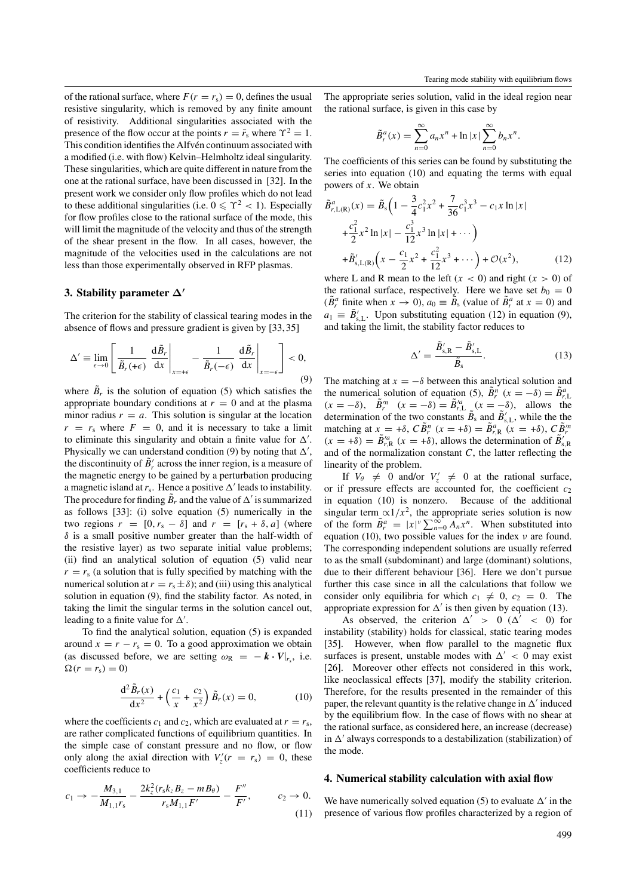of the rational surface, where  $F(r = r_s) = 0$ , defines the usual resistive singularity, which is removed by any finite amount of resistivity. Additional singularities associated with the presence of the flow occur at the points  $r = \bar{r}_s$  where  $\Upsilon^2 = 1$ . This condition identifies the Alfvén continuum associated with a modified (i.e. with flow) Kelvin–Helmholtz ideal singularity. These singularities, which are quite different in nature from the one at the rational surface, have been discussed in [32]. In the present work we consider only flow profiles which do not lead to these additional singularities (i.e.  $0 \le \Upsilon^2 < 1$ ). Especially for flow profiles close to the rational surface of the mode, this will limit the magnitude of the velocity and thus of the strength of the shear present in the flow. In all cases, however, the magnitude of the velocities used in the calculations are not less than those experimentally observed in RFP plasmas.

# **3. Stability parameter ∆***-*

The criterion for the stability of classical tearing modes in the absence of flows and pressure gradient is given by [33, 35]

$$
\Delta' \equiv \lim_{\epsilon \to 0} \left[ \frac{1}{\tilde{B}_r(\epsilon)} \frac{d\tilde{B}_r}{dx} \Big|_{x=\epsilon} - \frac{1}{\tilde{B}_r(-\epsilon)} \frac{d\tilde{B}_r}{dx} \Big|_{x=-\epsilon} \right] < 0,
$$
\n(9)

where  $\tilde{B}_r$  is the solution of equation (5) which satisfies the appropriate boundary conditions at  $r = 0$  and at the plasma minor radius  $r = a$ . This solution is singular at the location  $r = r<sub>s</sub>$  where  $F = 0$ , and it is necessary to take a limit to eliminate this singularity and obtain a finite value for  $\Delta'$ . Physically we can understand condition (9) by noting that  $\Delta'$ , the discontinuity of  $\tilde{B}'_r$  across the inner region, is a measure of the magnetic energy to be gained by a perturbation producing a magnetic island at  $r_s$ . Hence a positive  $\Delta'$  leads to instability. The procedure for finding  $\tilde{B}_r$  and the value of  $\Delta'$  is summarized as follows [33]: (i) solve equation (5) numerically in the two regions  $r = [0, r_s - \delta]$  and  $r = [r_s + \delta, a]$  (where *δ* is a small positive number greater than the half-width of the resistive layer) as two separate initial value problems; (ii) find an analytical solution of equation (5) valid near  $r = r<sub>s</sub>$  (a solution that is fully specified by matching with the numerical solution at  $r = r_s \pm \delta$ ); and (iii) using this analytical solution in equation (9), find the stability factor. As noted, in taking the limit the singular terms in the solution cancel out, leading to a finite value for  $\Delta'$ .

To find the analytical solution, equation (5) is expanded around  $x = r - r_s = 0$ . To a good approximation we obtain (as discussed before, we are setting  $\omega_R = -\mathbf{k} \cdot \mathbf{V}|_{r_s}$ , i.e.  $\Omega(r = r_{\rm s}) = 0$ 

$$
\frac{d^2 \tilde{B}_r(x)}{dx^2} + \left(\frac{c_1}{x} + \frac{c_2}{x^2}\right) \tilde{B}_r(x) = 0, \tag{10}
$$

where the coefficients  $c_1$  and  $c_2$ , which are evaluated at  $r = r_s$ , are rather complicated functions of equilibrium quantities. In the simple case of constant pressure and no flow, or flow only along the axial direction with  $V'_z(r = r_s) = 0$ , these coefficients reduce to

$$
c_1 \to -\frac{M_{3,1}}{M_{1,1}r_s} - \frac{2k_z^2(r_sk_zB_z - mB_\theta)}{r_sM_{1,1}F'} - \frac{F''}{F'}, \qquad c_2 \to 0.
$$
\n(11)

The appropriate series solution, valid in the ideal region near the rational surface, is given in this case by

$$
\tilde{B}_r^a(x) = \sum_{n=0}^{\infty} a_n x^n + \ln|x| \sum_{n=0}^{\infty} b_n x^n.
$$

The coefficients of this series can be found by substituting the series into equation (10) and equating the terms with equal powers of *x*. We obtain

$$
\tilde{B}_{r,\text{L(R)}}^{a}(x) = \tilde{B}_{s} \Big( 1 - \frac{3}{4} c_{1}^{2} x^{2} + \frac{7}{36} c_{1}^{3} x^{3} - c_{1} x \ln|x| + \frac{c_{1}^{2}}{2} x^{2} \ln|x| - \frac{c_{1}^{3}}{12} x^{3} \ln|x| + \cdots \Big) + \tilde{B}_{s,\text{L(R)}} \Big( x - \frac{c_{1}}{2} x^{2} + \frac{c_{1}^{2}}{12} x^{3} + \cdots \Big) + \mathcal{O}(x^{2}), \tag{12}
$$

where L and R mean to the left  $(x < 0)$  and right  $(x > 0)$  of the rational surface, respectively. Here we have set  $b_0 = 0$  $(\tilde{B}_r^a$  finite when  $x \to 0$ ,  $a_0 \equiv \tilde{B}_s$  (value of  $\tilde{B}_r^a$  at  $x = 0$ ) and  $a_1 \equiv \tilde{B}'_{s,L}$ . Upon substituting equation (12) in equation (9), and taking the limit, the stability factor reduces to

$$
\Delta' = \frac{\tilde{B}'_{s,R} - \tilde{B}'_{s,L}}{\tilde{B}_s}.
$$
\n(13)

The matching at  $x = -\delta$  between this analytical solution and the numerical solution of equation (5),  $\tilde{B}_r^n$   $(x = -\delta) = \tilde{B}_{r,L}^a$  $(x = -\delta)$ ,  $\tilde{B}_r^m$   $(x = -\delta) = \tilde{B}_{r,\text{L}}^m$   $(x = -\delta)$ , allows the determination of the two constants  $\tilde{B}_s$  and  $\tilde{B}'_{s,L}$ , while the the matching at  $x = +\delta$ ,  $C\tilde{B}_r^n$   $(x = +\delta) = \tilde{B}_{r,R}^a$   $(x = +\delta)$ ,  $C\tilde{B}_r^m$  $(x = +\delta) = \tilde{B}^{\prime a}_{r,R}$   $(x = +\delta)$ , allows the determination of  $\tilde{B}^{\prime}_{s,R}$ and of the normalization constant *C*, the latter reflecting the linearity of the problem.

If  $V_{\theta} \neq 0$  and/or  $V'_{z} \neq 0$  at the rational surface, or if pressure effects are accounted for, the coefficient *c*<sup>2</sup> in equation (10) is nonzero. Because of the additional singular term  $\alpha$ 1/x<sup>2</sup>, the appropriate series solution is now of the form  $\tilde{B}_r^a = |x|^v \sum_{n=0}^{\infty} A_n x^n$ . When substituted into equation (10), two possible values for the index *ν* are found. The corresponding independent solutions are usually referred to as the small (subdominant) and large (dominant) solutions, due to their different behaviour [36]. Here we don't pursue further this case since in all the calculations that follow we consider only equilibria for which  $c_1 \neq 0$ ,  $c_2 = 0$ . The appropriate expression for  $\Delta'$  is then given by equation (13).

As observed, the criterion  $\Delta' > 0$  ( $\Delta' < 0$ ) for instability (stability) holds for classical, static tearing modes [35]. However, when flow parallel to the magnetic flux surfaces is present, unstable modes with  $\Delta' < 0$  may exist [26]. Moreover other effects not considered in this work, like neoclassical effects [37], modify the stability criterion. Therefore, for the results presented in the remainder of this paper, the relevant quantity is the relative change in  $\Delta'$  induced by the equilibrium flow. In the case of flows with no shear at the rational surface, as considered here, an increase (decrease) in  $\Delta'$  always corresponds to a destabilization (stabilization) of the mode.

### **4. Numerical stability calculation with axial flow**

We have numerically solved equation (5) to evaluate  $\Delta'$  in the presence of various flow profiles characterized by a region of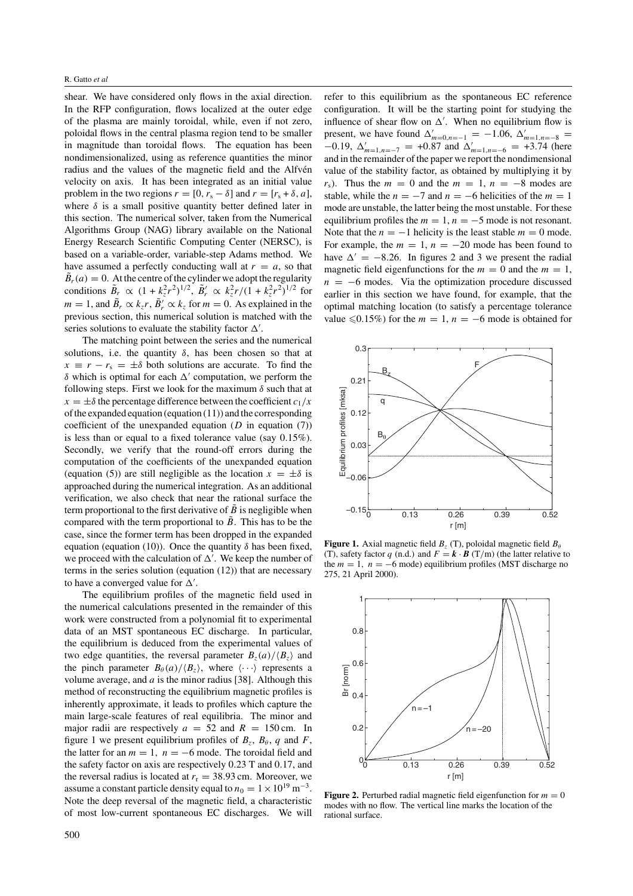shear. We have considered only flows in the axial direction. In the RFP configuration, flows localized at the outer edge of the plasma are mainly toroidal, while, even if not zero, poloidal flows in the central plasma region tend to be smaller in magnitude than toroidal flows. The equation has been nondimensionalized, using as reference quantities the minor radius and the values of the magnetic field and the Alfvén velocity on axis. It has been integrated as an initial value problem in the two regions  $r = [0, r_s - \delta]$  and  $r = [r_s + \delta, a]$ , where  $\delta$  is a small positive quantity better defined later in this section. The numerical solver, taken from the Numerical Algorithms Group (NAG) library available on the National Energy Research Scientific Computing Center (NERSC), is based on a variable-order, variable-step Adams method. We have assumed a perfectly conducting wall at  $r = a$ , so that  $\tilde{B}_r(a) = 0$ . At the centre of the cylinder we adopt the regularity conditions  $\tilde{B}_r \propto (1 + k_z^2 r^2)^{1/2}, \ \tilde{B}'_r \propto k_z^2 r / (1 + k_z^2 r^2)^{1/2}$  for *m* = 1, and  $\tilde{B}_r \propto k_z r$ ,  $\tilde{B}'_r \propto k_z$  for *m* = 0. As explained in the previous section, this numerical solution is matched with the series solutions to evaluate the stability factor  $\Delta'$ .

The matching point between the series and the numerical solutions, i.e. the quantity  $\delta$ , has been chosen so that at  $x \equiv r - r_s = \pm \delta$  both solutions are accurate. To find the  $δ$  which is optimal for each  $Δ'$  computation, we perform the following steps. First we look for the maximum *δ* such that at  $x = \pm \delta$  the percentage difference between the coefficient  $c_1/x$ of the expanded equation (equation (11)) and the corresponding coefficient of the unexpanded equation (*D* in equation (7)) is less than or equal to a fixed tolerance value (say 0*.*15%). Secondly, we verify that the round-off errors during the computation of the coefficients of the unexpanded equation (equation (5)) are still negligible as the location  $x = \pm \delta$  is approached during the numerical integration. As an additional verification, we also check that near the rational surface the term proportional to the first derivative of  $\ddot{B}$  is negligible when compared with the term proportional to  $\overline{B}$ . This has to be the case, since the former term has been dropped in the expanded equation (equation (10)). Once the quantity  $\delta$  has been fixed, we proceed with the calculation of  $\Delta'$ . We keep the number of terms in the series solution (equation (12)) that are necessary to have a converged value for  $\Delta'$ .

The equilibrium profiles of the magnetic field used in the numerical calculations presented in the remainder of this work were constructed from a polynomial fit to experimental data of an MST spontaneous EC discharge. In particular, the equilibrium is deduced from the experimental values of two edge quantities, the reversal parameter  $B_z(a)/\langle B_z \rangle$  and the pinch parameter  $B_\theta(a)/\langle B_z \rangle$ , where  $\langle \cdots \rangle$  represents a volume average, and *a* is the minor radius [38]. Although this method of reconstructing the equilibrium magnetic profiles is inherently approximate, it leads to profiles which capture the main large-scale features of real equilibria. The minor and major radii are respectively  $a = 52$  and  $R = 150$  cm. In figure 1 we present equilibrium profiles of  $B_z$ ,  $B_\theta$ , q and *F*, the latter for an  $m = 1$ ,  $n = -6$  mode. The toroidal field and the safety factor on axis are respectively 0*.*23 T and 0*.*17, and the reversal radius is located at  $r_r = 38.93$  cm. Moreover, we assume a constant particle density equal to  $n_0 = 1 \times 10^{19}$  m<sup>-3</sup>. Note the deep reversal of the magnetic field, a characteristic of most low-current spontaneous EC discharges. We will refer to this equilibrium as the spontaneous EC reference configuration. It will be the starting point for studying the influence of shear flow on  $\Delta'$ . When no equilibrium flow is present, we have found  $\Delta'_{m=0,n=-1} = -1.06$ ,  $\Delta'_{m=1,n=-8}$  $-0.19$ ,  $\Delta'_{m=1,n=-7}$  = +0.87 and  $\Delta'_{m=1,n=-6}$  = +3.74 (here and in the remainder of the paper we report the nondimensional value of the stability factor, as obtained by multiplying it by *r*<sub>s</sub>). Thus the  $m = 0$  and the  $m = 1$ ,  $n = -8$  modes are stable, while the  $n = -7$  and  $n = -6$  helicities of the  $m = 1$ mode are unstable, the latter being the most unstable. For these equilibrium profiles the  $m = 1$ ,  $n = -5$  mode is not resonant. Note that the  $n = -1$  helicity is the least stable  $m = 0$  mode. For example, the  $m = 1$ ,  $n = -20$  mode has been found to have  $\Delta' = -8.26$ . In figures 2 and 3 we present the radial magnetic field eigenfunctions for the  $m = 0$  and the  $m = 1$ ,  $n = -6$  modes. Via the optimization procedure discussed earlier in this section we have found, for example, that the optimal matching location (to satisfy a percentage tolerance value  $≤0.15\%$ ) for the *m* = 1, *n* = −6 mode is obtained for



**Figure 1.** Axial magnetic field  $B_z$  (T), poloidal magnetic field  $B_\theta$ (T), safety factor *q* (n.d.) and  $F = \mathbf{k} \cdot \mathbf{B}$  (T/m) (the latter relative to the  $m = 1$ ,  $n = -6$  mode) equilibrium profiles (MST discharge no 275, 21 April 2000).



**Figure 2.** Perturbed radial magnetic field eigenfunction for  $m = 0$ modes with no flow. The vertical line marks the location of the rational surface.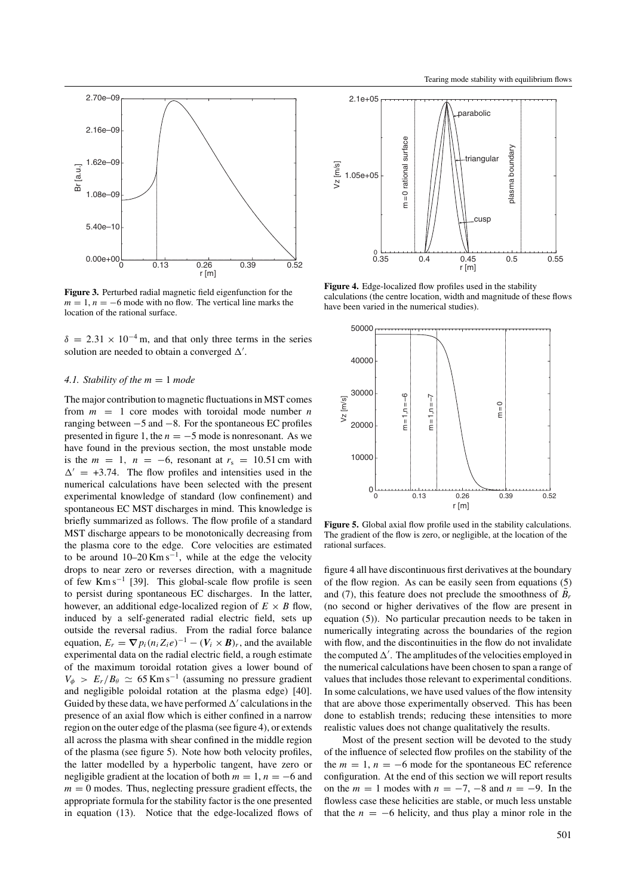

**Figure 3.** Perturbed radial magnetic field eigenfunction for the  $m = 1$ ,  $n = -6$  mode with no flow. The vertical line marks the location of the rational surface.

 $\delta = 2.31 \times 10^{-4}$  m, and that only three terms in the series solution are needed to obtain a converged  $\Delta'$ .

# *4.1. Stability of the m* = 1 *mode*

The major contribution to magnetic fluctuations in MST comes from  $m = 1$  core modes with toroidal mode number *n* ranging between −5 and −8. For the spontaneous EC profiles presented in figure 1, the  $n = -5$  mode is nonresonant. As we have found in the previous section, the most unstable mode is the  $m = 1$ ,  $n = -6$ , resonant at  $r_s = 10.51$  cm with  $\Delta' = +3.74$ . The flow profiles and intensities used in the numerical calculations have been selected with the present experimental knowledge of standard (low confinement) and spontaneous EC MST discharges in mind. This knowledge is briefly summarized as follows. The flow profile of a standard MST discharge appears to be monotonically decreasing from the plasma core to the edge. Core velocities are estimated to be around  $10-20$  Km s<sup>-1</sup>, while at the edge the velocity drops to near zero or reverses direction, with a magnitude of few Km s−<sup>1</sup> [39]. This global-scale flow profile is seen to persist during spontaneous EC discharges. In the latter, however, an additional edge-localized region of  $E \times B$  flow, induced by a self-generated radial electric field, sets up outside the reversal radius. From the radial force balance equation,  $E_r = \nabla p_i (n_i Z_i e)^{-1} - (V_i \times B)_r$ , and the available experimental data on the radial electric field, a rough estimate of the maximum toroidal rotation gives a lower bound of  $V_{\phi}$  >  $E_r/B_{\theta} \simeq 65$  Km s<sup>-1</sup> (assuming no pressure gradient and negligible poloidal rotation at the plasma edge) [40]. Guided by these data, we have performed  $\Delta'$  calculations in the presence of an axial flow which is either confined in a narrow region on the outer edge of the plasma (see figure 4), or extends all across the plasma with shear confined in the middle region of the plasma (see figure 5). Note how both velocity profiles, the latter modelled by a hyperbolic tangent, have zero or negligible gradient at the location of both  $m = 1$ ,  $n = -6$  and  $m = 0$  modes. Thus, neglecting pressure gradient effects, the appropriate formula for the stability factor is the one presented in equation (13). Notice that the edge-localized flows of



**Figure 4.** Edge-localized flow profiles used in the stability calculations (the centre location, width and magnitude of these flows have been varied in the numerical studies).



**Figure 5.** Global axial flow profile used in the stability calculations. The gradient of the flow is zero, or negligible, at the location of the rational surfaces.

figure 4 all have discontinuous first derivatives at the boundary of the flow region. As can be easily seen from equations (5) and (7), this feature does not preclude the smoothness of  $\tilde{B}_r$ (no second or higher derivatives of the flow are present in equation (5)). No particular precaution needs to be taken in numerically integrating across the boundaries of the region with flow, and the discontinuities in the flow do not invalidate the computed  $\Delta'$ . The amplitudes of the velocities employed in the numerical calculations have been chosen to span a range of values that includes those relevant to experimental conditions. In some calculations, we have used values of the flow intensity that are above those experimentally observed. This has been done to establish trends; reducing these intensities to more realistic values does not change qualitatively the results.

Most of the present section will be devoted to the study of the influence of selected flow profiles on the stability of the the  $m = 1$ ,  $n = -6$  mode for the spontaneous EC reference configuration. At the end of this section we will report results on the  $m = 1$  modes with  $n = -7, -8$  and  $n = -9$ . In the flowless case these helicities are stable, or much less unstable that the  $n = -6$  helicity, and thus play a minor role in the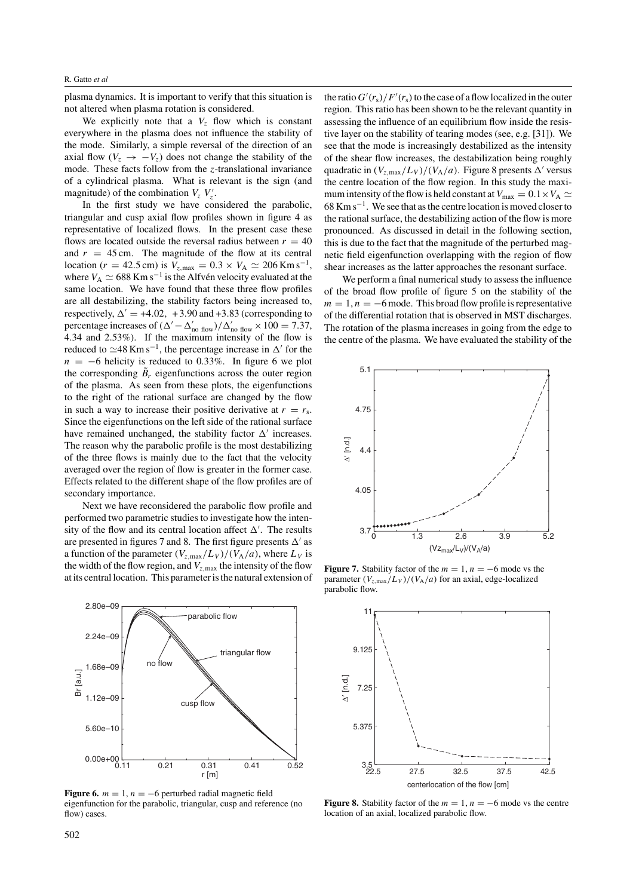plasma dynamics. It is important to verify that this situation is not altered when plasma rotation is considered.

We explicitly note that a  $V_z$  flow which is constant everywhere in the plasma does not influence the stability of the mode. Similarly, a simple reversal of the direction of an axial flow  $(V_z \rightarrow -V_z)$  does not change the stability of the mode. These facts follow from the *z*-translational invariance of a cylindrical plasma. What is relevant is the sign (and magnitude) of the combination  $V_z$   $V'_z$ .

In the first study we have considered the parabolic, triangular and cusp axial flow profiles shown in figure 4 as representative of localized flows. In the present case these flows are located outside the reversal radius between  $r = 40$ and  $r = 45$  cm. The magnitude of the flow at its central location (*r* = 42.5 cm) is  $V_{z, \text{max}} = 0.3 \times V_A \approx 206 \text{ Km s}^{-1}$ , where  $V_A \simeq 688$  Km s<sup>-1</sup> is the Alfvén velocity evaluated at the same location. We have found that these three flow profiles are all destabilizing, the stability factors being increased to, respectively,  $\Delta' = +4.02$ ,  $+3.90$  and  $+3.83$  (corresponding to percentage increases of  $(\Delta' - \Delta'_{\text{no flow}})/\Delta'_{\text{no flow}} \times 100 = 7.37$ , 4.34 and 2.53%). If the maximum intensity of the flow is reduced to  $\simeq$ 48 Km s<sup>-1</sup>, the percentage increase in  $\Delta'$  for the  $n = -6$  helicity is reduced to 0.33%. In figure 6 we plot the corresponding  $\tilde{B}_r$  eigenfunctions across the outer region of the plasma. As seen from these plots, the eigenfunctions to the right of the rational surface are changed by the flow in such a way to increase their positive derivative at  $r = r_s$ . Since the eigenfunctions on the left side of the rational surface have remained unchanged, the stability factor  $\Delta'$  increases. The reason why the parabolic profile is the most destabilizing of the three flows is mainly due to the fact that the velocity averaged over the region of flow is greater in the former case. Effects related to the different shape of the flow profiles are of secondary importance.

Next we have reconsidered the parabolic flow profile and performed two parametric studies to investigate how the intensity of the flow and its central location affect  $\Delta'$ . The results are presented in figures 7 and 8. The first figure presents  $\Delta'$  as a function of the parameter  $(V_{z, \text{max}}/L_V)/(V_A/a)$ , where  $L_V$  is the width of the flow region, and *Vz,*max the intensity of the flow at its central location. This parameter is the natural extension of



**Figure 6.**  $m = 1$ ,  $n = -6$  perturbed radial magnetic field eigenfunction for the parabolic, triangular, cusp and reference (no flow) cases.

the ratio  $G'(r_s)/F'(r_s)$  to the case of a flow localized in the outer region. This ratio has been shown to be the relevant quantity in assessing the influence of an equilibrium flow inside the resistive layer on the stability of tearing modes (see, e.g. [31]). We see that the mode is increasingly destabilized as the intensity of the shear flow increases, the destabilization being roughly quadratic in  $(V_{z, \text{max}}/L_V)/(V_A/a)$ . Figure 8 presents  $\Delta'$  versus the centre location of the flow region. In this study the maximum intensity of the flow is held constant at  $V_{\text{max}} = 0.1 \times V_A \simeq$  $68$  Km s<sup> $-1$ </sup>. We see that as the centre location is moved closer to the rational surface, the destabilizing action of the flow is more pronounced. As discussed in detail in the following section, this is due to the fact that the magnitude of the perturbed magnetic field eigenfunction overlapping with the region of flow shear increases as the latter approaches the resonant surface.

We perform a final numerical study to assess the influence of the broad flow profile of figure 5 on the stability of the  $m = 1, n = -6$  mode. This broad flow profile is representative of the differential rotation that is observed in MST discharges. The rotation of the plasma increases in going from the edge to the centre of the plasma. We have evaluated the stability of the



**Figure 7.** Stability factor of the  $m = 1$ ,  $n = -6$  mode vs the parameter  $(V_{z,\text{max}}/L_V)/(V_A/a)$  for an axial, edge-localized parabolic flow.



**Figure 8.** Stability factor of the  $m = 1$ ,  $n = -6$  mode vs the centre location of an axial, localized parabolic flow.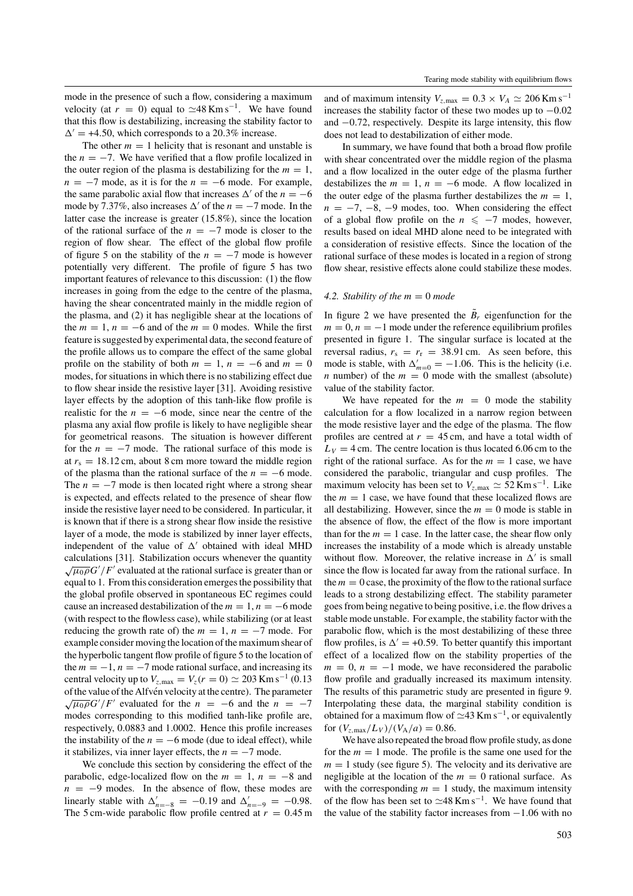mode in the presence of such a flow, considering a maximum velocity (at  $r = 0$ ) equal to  $\simeq 48$  Km s<sup>-1</sup>. We have found that this flow is destabilizing, increasing the stability factor to  $\Delta' = +4.50$ , which corresponds to a 20.3% increase.

The other  $m = 1$  helicity that is resonant and unstable is the  $n = -7$ . We have verified that a flow profile localized in the outer region of the plasma is destabilizing for the  $m = 1$ ,  $n = -7$  mode, as it is for the  $n = -6$  mode. For example, the same parabolic axial flow that increases  $\Delta'$  of the  $n = -6$ mode by 7.37%, also increases  $\Delta'$  of the  $n = -7$  mode. In the latter case the increase is greater (15.8%), since the location of the rational surface of the  $n = -7$  mode is closer to the region of flow shear. The effect of the global flow profile of figure 5 on the stability of the  $n = -7$  mode is however potentially very different. The profile of figure 5 has two important features of relevance to this discussion: (1) the flow increases in going from the edge to the centre of the plasma, having the shear concentrated mainly in the middle region of the plasma, and (2) it has negligible shear at the locations of the  $m = 1$ ,  $n = -6$  and of the  $m = 0$  modes. While the first feature is suggested by experimental data, the second feature of the profile allows us to compare the effect of the same global profile on the stability of both  $m = 1$ ,  $n = -6$  and  $m = 0$ modes, for situations in which there is no stabilizing effect due to flow shear inside the resistive layer [31]. Avoiding resistive layer effects by the adoption of this tanh-like flow profile is realistic for the  $n = -6$  mode, since near the centre of the plasma any axial flow profile is likely to have negligible shear for geometrical reasons. The situation is however different for the  $n = -7$  mode. The rational surface of this mode is at  $r_s = 18.12$  cm, about 8 cm more toward the middle region of the plasma than the rational surface of the  $n = -6$  mode. The  $n = -7$  mode is then located right where a strong shear is expected, and effects related to the presence of shear flow inside the resistive layer need to be considered. In particular, it is known that if there is a strong shear flow inside the resistive layer of a mode, the mode is stabilized by inner layer effects, independent of the value of  $\Delta'$  obtained with ideal MHD calculations [31]. Stabilization occurs whenever the quantity  $\sqrt{\mu_0 \rho} G' / F'$  evaluated at the rational surface is greater than or equal to 1. From this consideration emerges the possibility that the global profile observed in spontaneous EC regimes could cause an increased destabilization of the  $m = 1$ ,  $n = -6$  mode (with respect to the flowless case), while stabilizing (or at least reducing the growth rate of) the  $m = 1$ ,  $n = -7$  mode. For example consider moving the location of the maximum shear of the hyperbolic tangent flow profile of figure 5 to the location of the  $m = -1$ ,  $n = -7$  mode rational surface, and increasing its central velocity up to  $V_{z, \text{max}} = V_z(r = 0) \approx 203 \text{ Km s}^{-1} (0.13)$ of the value of the Alfvén velocity at the centre). The parameter  $\sqrt{\mu_0 \rho} G'/F'$  evaluated for the *n* = −6 and the *n* = −7 modes corresponding to this modified tanh-like profile are, respectively, 0*.*0883 and 1*.*0002. Hence this profile increases the instability of the  $n = -6$  mode (due to ideal effect), while it stabilizes, via inner layer effects, the  $n = -7$  mode.

We conclude this section by considering the effect of the parabolic, edge-localized flow on the  $m = 1$ ,  $n = -8$  and  $n = -9$  modes. In the absence of flow, these modes are linearly stable with  $\Delta'_{n=-8} = -0.19$  and  $\Delta'_{n=-9} = -0.98$ . The 5 cm-wide parabolic flow profile centred at  $r = 0.45$  m

and of maximum intensity  $V_{z, \text{max}} = 0.3 \times V_A \approx 206 \text{ Km s}^{-1}$ increases the stability factor of these two modes up to −0*.*02 and −0*.*72, respectively. Despite its large intensity, this flow does not lead to destabilization of either mode.

In summary, we have found that both a broad flow profile with shear concentrated over the middle region of the plasma and a flow localized in the outer edge of the plasma further destabilizes the  $m = 1$ ,  $n = -6$  mode. A flow localized in the outer edge of the plasma further destabilizes the  $m = 1$ ,  $n = -7, -8, -9$  modes, too. When considering the effect of a global flow profile on the  $n \le -7$  modes, however, results based on ideal MHD alone need to be integrated with a consideration of resistive effects. Since the location of the rational surface of these modes is located in a region of strong flow shear, resistive effects alone could stabilize these modes.

## 4.2. Stability of the  $m = 0$  mode

In figure 2 we have presented the  $\tilde{B}_r$  eigenfunction for the  $m = 0, n = -1$  mode under the reference equilibrium profiles presented in figure 1. The singular surface is located at the reversal radius,  $r_s = r_r = 38.91$  cm. As seen before, this mode is stable, with  $\Delta'_{m=0} = -1.06$ . This is the helicity (i.e. *n* number) of the  $m = 0$  mode with the smallest (absolute) value of the stability factor.

We have repeated for the  $m = 0$  mode the stability calculation for a flow localized in a narrow region between the mode resistive layer and the edge of the plasma. The flow profiles are centred at  $r = 45$  cm, and have a total width of  $L_V = 4$  cm. The centre location is thus located 6.06 cm to the right of the rational surface. As for the  $m = 1$  case, we have considered the parabolic, triangular and cusp profiles. The maximum velocity has been set to  $V_{z, \text{max}} \simeq 52 \text{ Km s}^{-1}$ . Like the  $m = 1$  case, we have found that these localized flows are all destabilizing. However, since the  $m = 0$  mode is stable in the absence of flow, the effect of the flow is more important than for the  $m = 1$  case. In the latter case, the shear flow only increases the instability of a mode which is already unstable without flow. Moreover, the relative increase in  $\Delta'$  is small since the flow is located far away from the rational surface. In the  $m = 0$  case, the proximity of the flow to the rational surface leads to a strong destabilizing effect. The stability parameter goes from being negative to being positive, i.e. the flow drives a stable mode unstable. For example, the stability factor with the parabolic flow, which is the most destabilizing of these three flow profiles, is  $\Delta' = +0.59$ . To better quantify this important effect of a localized flow on the stability properties of the  $m = 0$ ,  $n = -1$  mode, we have reconsidered the parabolic flow profile and gradually increased its maximum intensity. The results of this parametric study are presented in figure 9. Interpolating these data, the marginal stability condition is obtained for a maximum flow of  $\simeq$ 43 Km s<sup>-1</sup>, or equivalently for  $(V_{z, max}/L_V)/(V_A/a) = 0.86$ .

We have also repeated the broad flow profile study, as done for the  $m = 1$  mode. The profile is the same one used for the  $m = 1$  study (see figure 5). The velocity and its derivative are negligible at the location of the  $m = 0$  rational surface. As with the corresponding  $m = 1$  study, the maximum intensity of the flow has been set to  $\simeq 48$  Km s<sup>-1</sup>. We have found that the value of the stability factor increases from −1*.*06 with no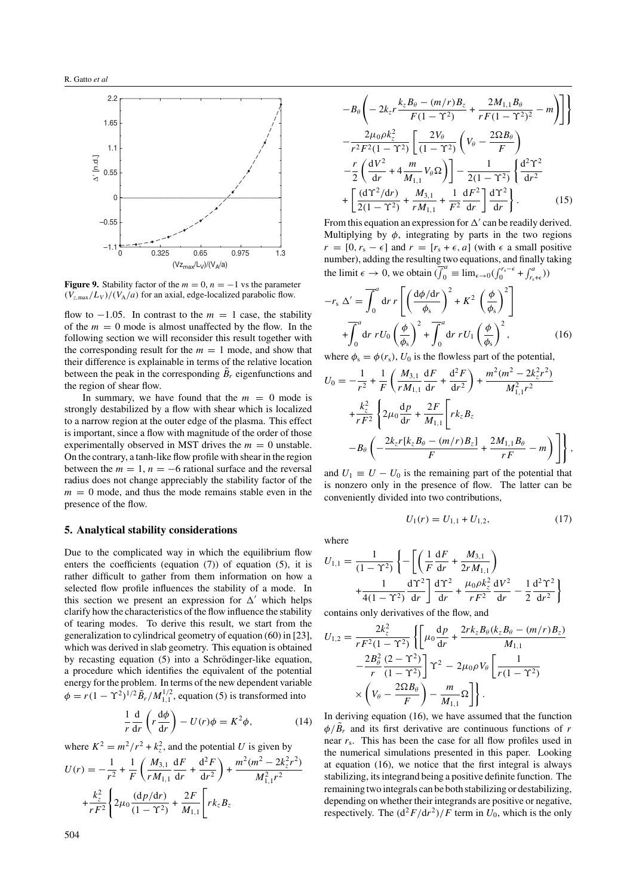

**Figure 9.** Stability factor of the  $m = 0$ ,  $n = -1$  vs the parameter  $(V_{z, \text{max}}/L_V)/(V_A/a)$  for an axial, edge-localized parabolic flow.

flow to  $-1.05$ . In contrast to the  $m = 1$  case, the stability of the  $m = 0$  mode is almost unaffected by the flow. In the following section we will reconsider this result together with the corresponding result for the  $m = 1$  mode, and show that their difference is explainable in terms of the relative location between the peak in the corresponding  $B_r$  eigenfunctions and the region of shear flow.

In summary, we have found that the  $m = 0$  mode is strongly destabilized by a flow with shear which is localized to a narrow region at the outer edge of the plasma. This effect is important, since a flow with magnitude of the order of those experimentally observed in MST drives the  $m = 0$  unstable. On the contrary, a tanh-like flow profile with shear in the region between the  $m = 1$ ,  $n = -6$  rational surface and the reversal radius does not change appreciably the stability factor of the  $m = 0$  mode, and thus the mode remains stable even in the presence of the flow.

# **5. Analytical stability considerations**

Due to the complicated way in which the equilibrium flow enters the coefficients (equation (7)) of equation (5), it is rather difficult to gather from them information on how a selected flow profile influences the stability of a mode. In this section we present an expression for  $\Delta'$  which helps clarify how the characteristics of the flow influence the stability of tearing modes. To derive this result, we start from the generalization to cylindrical geometry of equation (60) in [23], which was derived in slab geometry. This equation is obtained by recasting equation (5) into a Schrödinger-like equation, a procedure which identifies the equivalent of the potential energy for the problem. In terms of the new dependent variable  $\phi = r(1 - \Upsilon^2)^{1/2} \tilde{B}_r / M_{1,1}^{1/2}$ , equation (5) is transformed into

$$
\frac{1}{r}\frac{d}{dr}\left(r\frac{d\phi}{dr}\right) - U(r)\phi = K^2\phi,
$$
\n(14)

where  $K^2 = m^2/r^2 + k_z^2$ , and the potential *U* is given by

$$
U(r) = -\frac{1}{r^2} + \frac{1}{F} \left( \frac{M_{3,1}}{r M_{1,1}} \frac{dF}{dr} + \frac{d^2 F}{dr^2} \right) + \frac{m^2 (m^2 - 2k_z^2 r^2)}{M_{1,1}^2 r^2} + \frac{k_z^2}{r F^2} \left\{ 2\mu_0 \frac{(dp/dr)}{(1 - \Upsilon^2)} + \frac{2F}{M_{1,1}} \left[ r k_z B_z \right] \right\}
$$

$$
-B_{\theta}\left(-2k_{z}r\frac{k_{z}B_{\theta}-(m/r)B_{z}}{F(1-\Upsilon^{2})}+\frac{2M_{1,1}B_{\theta}}{F(1-\Upsilon^{2})^{2}}-m\right)\right]
$$

$$
-\frac{2\mu_{0}\rho k_{z}^{2}}{r^{2}F^{2}(1-\Upsilon^{2})}\left[\frac{2V_{\theta}}{(1-\Upsilon^{2})}\left(V_{\theta}-\frac{2\Omega B_{\theta}}{F}\right) -\frac{r}{2}\left(\frac{dV^{2}}{dr}+4\frac{m}{M_{1,1}}V_{\theta}\Omega\right)\right]-\frac{1}{2(1-\Upsilon^{2})}\left\{\frac{d^{2}\Upsilon^{2}}{dr^{2}} +\left[\frac{(d\Upsilon^{2}/dr)}{2(1-\Upsilon^{2})}+\frac{M_{3,1}}{rM_{1,1}}+\frac{1}{F^{2}}\frac{dF^{2}}{dr}\right]\frac{d\Upsilon^{2}}{dr}\right\}.
$$
(15)

From this equation an expression for  $\Delta'$  can be readily derived. Multiplying by  $\phi$ , integrating by parts in the two regions  $r = [0, r_s - \epsilon]$  and  $r = [r_s + \epsilon, a]$  (with  $\epsilon$  a small positive number), adding the resulting two equations, and finally taking the limit  $\epsilon \to 0$ , we obtain  $\overline{\left(\int_0^a \epsilon \right)} = \lim_{\epsilon \to 0} \left(\int_0^{r_s - \epsilon} + \int_{r_s + \epsilon}^a \right)$ 

$$
-r_{s} \Delta' = \overline{\int_{0}^{a} dr r \left[ \left( \frac{d\phi/dr}{\phi_{s}} \right)^{2} + K^{2} \left( \frac{\phi}{\phi_{s}} \right)^{2} \right]}
$$

$$
+ \overline{\int_{0}^{a} dr r U_{0} \left( \frac{\phi}{\phi_{s}} \right)^{2} + \overline{\int_{0}^{a} dr r U_{1} \left( \frac{\phi}{\phi_{s}} \right)^{2}}, \qquad (16)
$$

where  $\phi_s = \phi(r_s)$ ,  $U_0$  is the flowless part of the potential,

$$
U_0 = -\frac{1}{r^2} + \frac{1}{F} \left( \frac{M_{3,1}}{r M_{1,1}} \frac{dF}{dr} + \frac{d^2 F}{dr^2} \right) + \frac{m^2 (m^2 - 2k_z^2 r^2)}{M_{1,1}^2 r^2} + \frac{k_z^2}{r F^2} \left\{ 2\mu_0 \frac{dp}{dr} + \frac{2F}{M_{1,1}} \left[ r k_z B_z \right. - B_\theta \left( -\frac{2k_z r [k_z B_\theta - (m/r) B_z]}{F} + \frac{2M_{1,1} B_\theta}{r F} - m \right) \right\},
$$

and  $U_1 \equiv U - U_0$  is the remaining part of the potential that is nonzero only in the presence of flow. The latter can be conveniently divided into two contributions,

$$
U_1(r) = U_{1,1} + U_{1,2},\tag{17}
$$

where

$$
U_{1,1} = \frac{1}{(1 - \Upsilon^2)} \left\{ - \left[ \left( \frac{1}{F} \frac{dF}{dr} + \frac{M_{3,1}}{2r M_{1,1}} \right) + \frac{1}{4(1 - \Upsilon^2)} \frac{d\Upsilon^2}{dr} \right] \frac{d\Upsilon^2}{dr} + \frac{\mu_0 \rho k_z^2}{r F^2} \frac{dV^2}{dr} - \frac{1}{2} \frac{d^2 \Upsilon^2}{dr^2} \right\}
$$

contains only derivatives of the flow, and

$$
U_{1,2} = \frac{2k_z^2}{rF^2(1-\Upsilon^2)} \left\{ \left[ \mu_0 \frac{dp}{dr} + \frac{2rk_zB_\theta(k_zB_\theta - (m/r)B_z)}{M_{1,1}} \right. \right.\left. - \frac{2B_\theta^2}{r} \frac{(2-\Upsilon^2)}{(1-\Upsilon^2)} \right] \Upsilon^2 - 2\mu_0\rho V_\theta \left[ \frac{1}{r(1-\Upsilon^2)} \right.\left. \times \left( V_\theta - \frac{2\Omega B_\theta}{F} \right) - \frac{m}{M_{1,1}} \Omega \right] \right\}.
$$

In deriving equation (16), we have assumed that the function  $\phi/\tilde{B}_r$  and its first derivative are continuous functions of *r* near *r*s. This has been the case for all flow profiles used in the numerical simulations presented in this paper. Looking at equation (16), we notice that the first integral is always stabilizing, its integrand being a positive definite function. The remaining two integrals can be both stabilizing or destabilizing, depending on whether their integrands are positive or negative, respectively. The  $\frac{d^2F}{dr^2}/F$  term in  $U_0$ , which is the only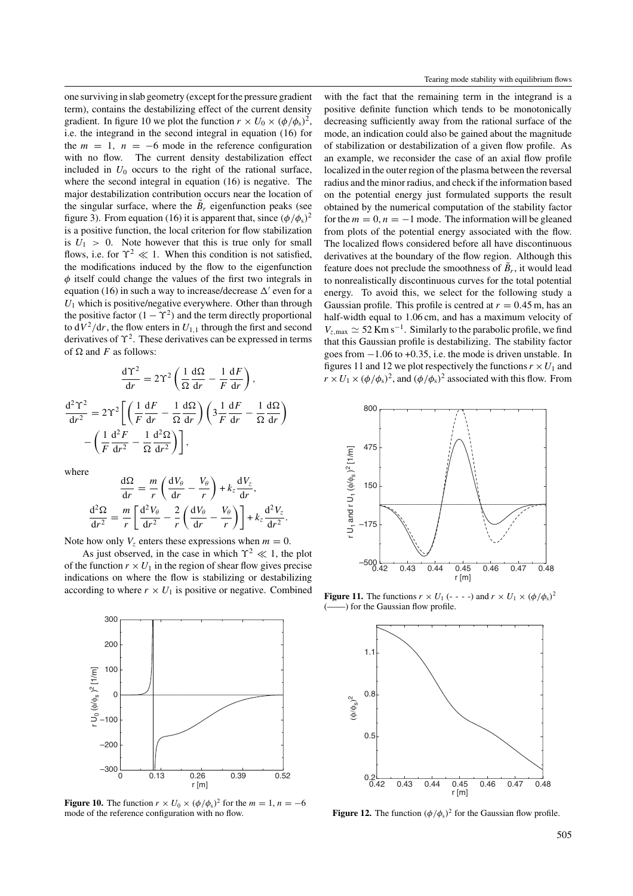one surviving in slab geometry (except for the pressure gradient term), contains the destabilizing effect of the current density gradient. In figure 10 we plot the function  $r \times U_0 \times (\phi/\phi_s)^2$ , i.e. the integrand in the second integral in equation (16) for the  $m = 1$ ,  $n = -6$  mode in the reference configuration with no flow. The current density destabilization effect included in  $U_0$  occurs to the right of the rational surface, where the second integral in equation (16) is negative. The major destabilization contribution occurs near the location of the singular surface, where the  $\tilde{B}_r$  eigenfunction peaks (see figure 3). From equation (16) it is apparent that, since  $(\phi/\phi_s)^2$ is a positive function, the local criterion for flow stabilization is  $U_1 > 0$ . Note however that this is true only for small flows, i.e. for  $\Upsilon^2 \ll 1$ . When this condition is not satisfied, the modifications induced by the flow to the eigenfunction *φ* itself could change the values of the first two integrals in equation (16) in such a way to increase/decrease  $\Delta'$  even for a *U*<sup>1</sup> which is positive/negative everywhere. Other than through the positive factor  $(1 - \Upsilon^2)$  and the term directly proportional to  $dV^2/dr$ , the flow enters in  $U_{1,1}$  through the first and second derivatives of *ϒ*2. These derivatives can be expressed in terms of  $\Omega$  and *F* as follows:

$$
\frac{d\Upsilon^2}{dr} = 2\Upsilon^2 \left( \frac{1}{\Omega} \frac{d\Omega}{dr} - \frac{1}{F} \frac{dF}{dr} \right),
$$

$$
\frac{d^2\Upsilon^2}{dr^2} = 2\Upsilon^2 \left[ \left( \frac{1}{F} \frac{dF}{dr} - \frac{1}{\Omega} \frac{d\Omega}{dr} \right) \left( 3 \frac{1}{F} \frac{dF}{dr} - \frac{1}{\Omega} \frac{d\Omega}{dr} \right) - \left( \frac{1}{F} \frac{d^2F}{dr^2} - \frac{1}{\Omega} \frac{d^2\Omega}{dr^2} \right) \right],
$$

d*ϒ*<sup>2</sup>

where

$$
\frac{d\Omega}{dr} = \frac{m}{r} \left( \frac{dV_{\theta}}{dr} - \frac{V_{\theta}}{r} \right) + k_z \frac{dV_z}{dr},
$$

$$
\frac{d^2\Omega}{dr^2} = \frac{m}{r} \left[ \frac{d^2V_{\theta}}{dr^2} - \frac{2}{r} \left( \frac{dV_{\theta}}{dr} - \frac{V_{\theta}}{r} \right) \right] + k_z \frac{d^2V_z}{dr^2}.
$$

Note how only  $V_z$  enters these expressions when  $m = 0$ .

As just observed, in the case in which  $\Upsilon^2 \ll 1$ , the plot of the function  $r \times U_1$  in the region of shear flow gives precise indications on where the flow is stabilizing or destabilizing according to where  $r \times U_1$  is positive or negative. Combined



**Figure 10.** The function  $r \times U_0 \times (\phi/\phi_s)^2$  for the  $m = 1, n = -6$ mode of the reference configuration with no flow.

with the fact that the remaining term in the integrand is a positive definite function which tends to be monotonically decreasing sufficiently away from the rational surface of the mode, an indication could also be gained about the magnitude of stabilization or destabilization of a given flow profile. As an example, we reconsider the case of an axial flow profile localized in the outer region of the plasma between the reversal radius and the minor radius, and check if the information based on the potential energy just formulated supports the result obtained by the numerical computation of the stability factor for the  $m = 0$ ,  $n = -1$  mode. The information will be gleaned from plots of the potential energy associated with the flow. The localized flows considered before all have discontinuous derivatives at the boundary of the flow region. Although this feature does not preclude the smoothness of  $\tilde{B}_r$ , it would lead to nonrealistically discontinuous curves for the total potential energy. To avoid this, we select for the following study a Gaussian profile. This profile is centred at  $r = 0.45$  m, has an half-width equal to 1.06 cm, and has a maximum velocity of  $V_{z, \text{max}} \simeq 52 \text{ Km s}^{-1}$ . Similarly to the parabolic profile, we find that this Gaussian profile is destabilizing. The stability factor goes from −1*.*06 to +0*.*35, i.e. the mode is driven unstable. In figures 11 and 12 we plot respectively the functions  $r \times U_1$  and  $r \times U_1 \times (\phi/\phi_s)^2$ , and  $(\phi/\phi_s)^2$  associated with this flow. From



**Figure 11.** The functions  $r \times U_1$  (- - - -) and  $r \times U_1 \times (\phi/\phi_s)^2$  $-$ ) for the Gaussian flow profile.



**Figure 12.** The function  $(\phi/\phi_s)^2$  for the Gaussian flow profile.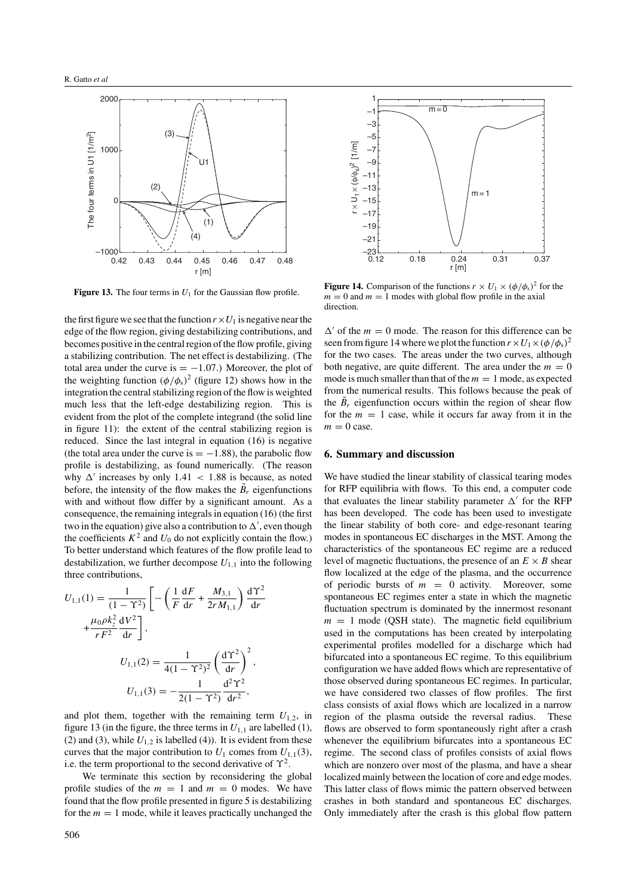

**Figure 13.** The four terms in  $U_1$  for the Gaussian flow profile.

the first figure we see that the function  $r \times U_1$  is negative near the edge of the flow region, giving destabilizing contributions, and becomes positive in the central region of the flow profile, giving a stabilizing contribution. The net effect is destabilizing. (The total area under the curve is  $= -1.07$ .) Moreover, the plot of the weighting function  $(\phi/\phi_s)^2$  (figure 12) shows how in the integration the central stabilizing region of the flow is weighted much less that the left-edge destabilizing region. This is evident from the plot of the complete integrand (the solid line in figure 11): the extent of the central stabilizing region is reduced. Since the last integral in equation (16) is negative (the total area under the curve is  $= -1.88$ ), the parabolic flow profile is destabilizing, as found numerically. (The reason why  $\Delta'$  increases by only 1.41  $\langle$  1.88 is because, as noted before, the intensity of the flow makes the  $B_r$  eigenfunctions with and without flow differ by a significant amount. As a consequence, the remaining integrals in equation (16) (the first two in the equation) give also a contribution to  $\Delta'$ , even though the coefficients  $K^2$  and  $U_0$  do not explicitly contain the flow.) To better understand which features of the flow profile lead to destabilization, we further decompose  $U_{1,1}$  into the following three contributions,

$$
U_{1,1}(1) = \frac{1}{(1 - \Upsilon^2)} \left[ -\left(\frac{1}{F} \frac{dF}{dr} + \frac{M_{3,1}}{2r M_{1,1}}\right) \frac{d\Upsilon^2}{dr} + \frac{\mu_0 \rho k_z^2}{rF^2} \frac{dV^2}{dr} \right],
$$
  

$$
U_{1,1}(2) = \frac{1}{4(1 - \Upsilon^2)^2} \left(\frac{d\Upsilon^2}{dr}\right)^2,
$$

$$
U_{1,1}(3) = -\frac{1}{2(1 - \Upsilon^2)} \frac{d^2 \Upsilon^2}{dr^2},
$$

and plot them, together with the remaining term  $U_{1,2}$ , in figure 13 (in the figure, the three terms in  $U_{1,1}$  are labelled (1), (2) and (3), while  $U_{1,2}$  is labelled (4)). It is evident from these curves that the major contribution to  $U_1$  comes from  $U_{1,1}(3)$ , i.e. the term proportional to the second derivative of *ϒ*2.

We terminate this section by reconsidering the global profile studies of the  $m = 1$  and  $m = 0$  modes. We have found that the flow profile presented in figure 5 is destabilizing for the  $m = 1$  mode, while it leaves practically unchanged the



**Figure 14.** Comparison of the functions  $r \times U_1 \times (\phi/\phi_s)^2$  for the  $m = 0$  and  $m = 1$  modes with global flow profile in the axial direction.

 $\Delta'$  of the  $m = 0$  mode. The reason for this difference can be seen from figure 14 where we plot the function  $r \times U_1 \times (\phi/\phi_s)^2$ for the two cases. The areas under the two curves, although both negative, are quite different. The area under the  $m = 0$ mode is much smaller than that of the  $m = 1$  mode, as expected from the numerical results. This follows because the peak of the  $B_r$  eigenfunction occurs within the region of shear flow for the  $m = 1$  case, while it occurs far away from it in the  $m = 0$  case.

# **6. Summary and discussion**

We have studied the linear stability of classical tearing modes for RFP equilibria with flows. To this end, a computer code that evaluates the linear stability parameter  $\Delta'$  for the RFP has been developed. The code has been used to investigate the linear stability of both core- and edge-resonant tearing modes in spontaneous EC discharges in the MST. Among the characteristics of the spontaneous EC regime are a reduced level of magnetic fluctuations, the presence of an  $E \times B$  shear flow localized at the edge of the plasma, and the occurrence of periodic bursts of  $m = 0$  activity. Moreover, some spontaneous EC regimes enter a state in which the magnetic fluctuation spectrum is dominated by the innermost resonant  $m = 1$  mode (QSH state). The magnetic field equilibrium used in the computations has been created by interpolating experimental profiles modelled for a discharge which had bifurcated into a spontaneous EC regime. To this equilibrium configuration we have added flows which are representative of those observed during spontaneous EC regimes. In particular, we have considered two classes of flow profiles. The first class consists of axial flows which are localized in a narrow region of the plasma outside the reversal radius. These flows are observed to form spontaneously right after a crash whenever the equilibrium bifurcates into a spontaneous EC regime. The second class of profiles consists of axial flows which are nonzero over most of the plasma, and have a shear localized mainly between the location of core and edge modes. This latter class of flows mimic the pattern observed between crashes in both standard and spontaneous EC discharges. Only immediately after the crash is this global flow pattern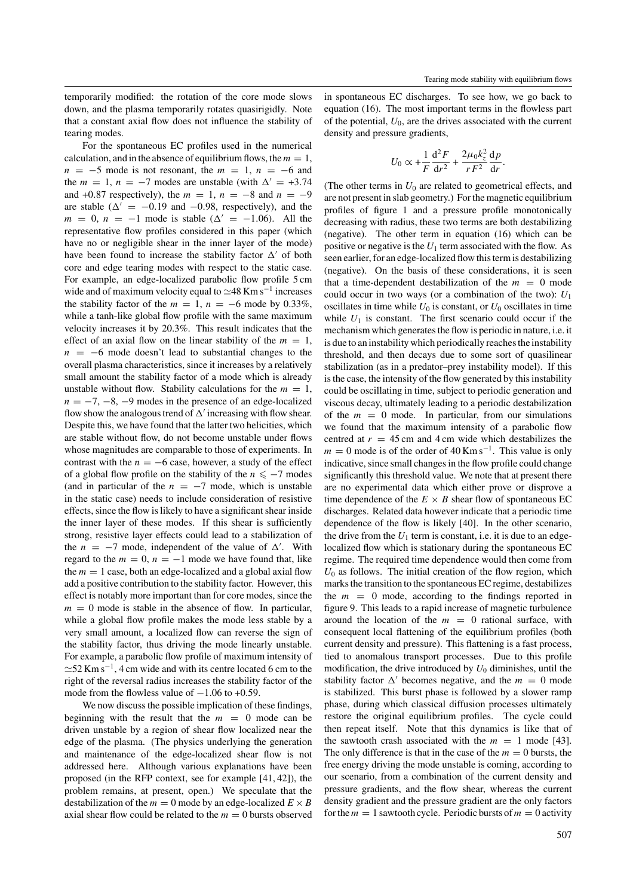temporarily modified: the rotation of the core mode slows down, and the plasma temporarily rotates quasirigidly. Note that a constant axial flow does not influence the stability of tearing modes.

For the spontaneous EC profiles used in the numerical calculation, and in the absence of equilibrium flows, the  $m = 1$ ,  $n = -5$  mode is not resonant, the  $m = 1$ ,  $n = -6$  and the  $m = 1$ ,  $n = -7$  modes are unstable (with  $\Delta' = +3.74$ and  $+0.87$  respectively), the  $m = 1$ ,  $n = -8$  and  $n = -9$ are stable ( $\Delta' = -0.19$  and  $-0.98$ , respectively), and the  $m = 0$ ,  $n = -1$  mode is stable ( $\Delta' = -1.06$ ). All the representative flow profiles considered in this paper (which have no or negligible shear in the inner layer of the mode) have been found to increase the stability factor  $\Delta'$  of both core and edge tearing modes with respect to the static case. For example, an edge-localized parabolic flow profile 5 cm wide and of maximum velocity equal to  $\simeq$ 48 Km s<sup>-1</sup> increases the stability factor of the  $m = 1$ ,  $n = -6$  mode by 0.33%, while a tanh-like global flow profile with the same maximum velocity increases it by 20.3%. This result indicates that the effect of an axial flow on the linear stability of the  $m = 1$ ,  $n = -6$  mode doesn't lead to substantial changes to the overall plasma characteristics, since it increases by a relatively small amount the stability factor of a mode which is already unstable without flow. Stability calculations for the  $m = 1$ ,  $n = -7, -8, -9$  modes in the presence of an edge-localized flow show the analogous trend of  $\Delta'$  increasing with flow shear. Despite this, we have found that the latter two helicities, which are stable without flow, do not become unstable under flows whose magnitudes are comparable to those of experiments. In contrast with the  $n = -6$  case, however, a study of the effect of a global flow profile on the stability of the  $n \leq -7$  modes (and in particular of the  $n = -7$  mode, which is unstable in the static case) needs to include consideration of resistive effects, since the flow is likely to have a significant shear inside the inner layer of these modes. If this shear is sufficiently strong, resistive layer effects could lead to a stabilization of the  $n = -7$  mode, independent of the value of  $\Delta'$ . With regard to the  $m = 0$ ,  $n = -1$  mode we have found that, like the  $m = 1$  case, both an edge-localized and a global axial flow add a positive contribution to the stability factor. However, this effect is notably more important than for core modes, since the  $m = 0$  mode is stable in the absence of flow. In particular, while a global flow profile makes the mode less stable by a very small amount, a localized flow can reverse the sign of the stability factor, thus driving the mode linearly unstable. For example, a parabolic flow profile of maximum intensity of  $\approx$ 52 Km s<sup>-1</sup>, 4 cm wide and with its centre located 6 cm to the right of the reversal radius increases the stability factor of the mode from the flowless value of  $-1.06$  to  $+0.59$ .

We now discuss the possible implication of these findings, beginning with the result that the  $m = 0$  mode can be driven unstable by a region of shear flow localized near the edge of the plasma. (The physics underlying the generation and maintenance of the edge-localized shear flow is not addressed here. Although various explanations have been proposed (in the RFP context, see for example [41, 42]), the problem remains, at present, open.) We speculate that the destabilization of the  $m = 0$  mode by an edge-localized  $E \times B$ axial shear flow could be related to the  $m = 0$  bursts observed in spontaneous EC discharges. To see how, we go back to equation (16). The most important terms in the flowless part of the potential,  $U_0$ , are the drives associated with the current density and pressure gradients,

$$
U_0 \propto +\frac{1}{F}\frac{\mathrm{d}^2 F}{\mathrm{d}r^2} + \frac{2\mu_0 k_z^2}{rF^2}\frac{\mathrm{d}p}{\mathrm{d}r}.
$$

(The other terms in  $U_0$  are related to geometrical effects, and are not present in slab geometry.) For the magnetic equilibrium profiles of figure 1 and a pressure profile monotonically decreasing with radius, these two terms are both destabilizing (negative). The other term in equation (16) which can be positive or negative is the  $U_1$  term associated with the flow. As seen earlier, for an edge-localized flow this term is destabilizing (negative). On the basis of these considerations, it is seen that a time-dependent destabilization of the  $m = 0$  mode could occur in two ways (or a combination of the two): *U*<sup>1</sup> oscillates in time while  $U_0$  is constant, or  $U_0$  oscillates in time while  $U_1$  is constant. The first scenario could occur if the mechanism which generates the flow is periodic in nature, i.e. it is due to an instability which periodically reaches the instability threshold, and then decays due to some sort of quasilinear stabilization (as in a predator–prey instability model). If this is the case, the intensity of the flow generated by this instability could be oscillating in time, subject to periodic generation and viscous decay, ultimately leading to a periodic destabilization of the  $m = 0$  mode. In particular, from our simulations we found that the maximum intensity of a parabolic flow centred at  $r = 45$  cm and 4 cm wide which destabilizes the  $m = 0$  mode is of the order of 40 Km s<sup>-1</sup>. This value is only indicative, since small changes in the flow profile could change significantly this threshold value. We note that at present there are no experimental data which either prove or disprove a time dependence of the  $E \times B$  shear flow of spontaneous EC discharges. Related data however indicate that a periodic time dependence of the flow is likely [40]. In the other scenario, the drive from the  $U_1$  term is constant, i.e. it is due to an edgelocalized flow which is stationary during the spontaneous EC regime. The required time dependence would then come from  $U_0$  as follows. The initial creation of the flow region, which marks the transition to the spontaneous EC regime, destabilizes the  $m = 0$  mode, according to the findings reported in figure 9. This leads to a rapid increase of magnetic turbulence around the location of the  $m = 0$  rational surface, with consequent local flattening of the equilibrium profiles (both current density and pressure). This flattening is a fast process, tied to anomalous transport processes. Due to this profile modification, the drive introduced by  $U_0$  diminishes, until the stability factor  $\Delta'$  becomes negative, and the  $m = 0$  mode is stabilized. This burst phase is followed by a slower ramp phase, during which classical diffusion processes ultimately restore the original equilibrium profiles. The cycle could then repeat itself. Note that this dynamics is like that of the sawtooth crash associated with the  $m = 1$  mode [43]. The only difference is that in the case of the  $m = 0$  bursts, the free energy driving the mode unstable is coming, according to our scenario, from a combination of the current density and pressure gradients, and the flow shear, whereas the current density gradient and the pressure gradient are the only factors for the  $m = 1$  sawtooth cycle. Periodic bursts of  $m = 0$  activity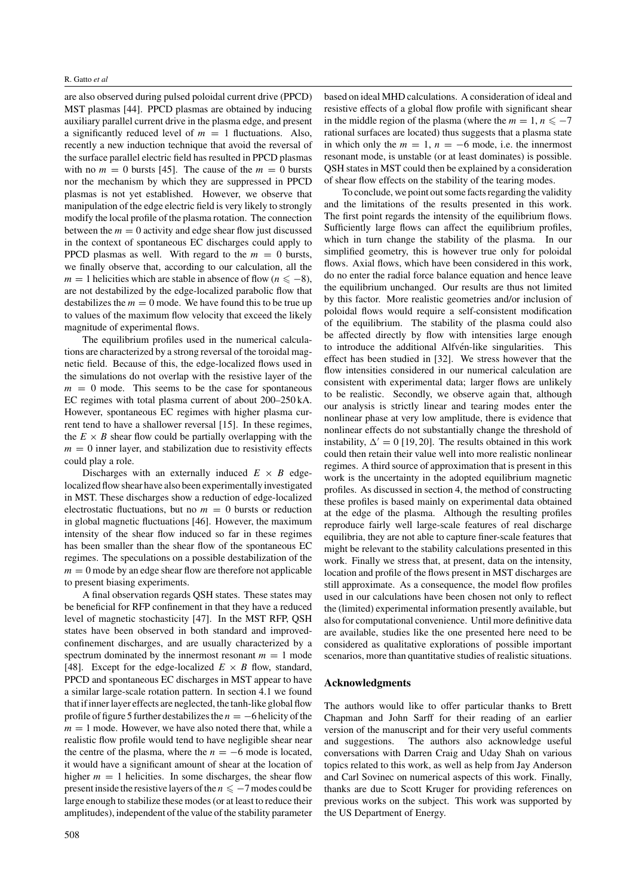are also observed during pulsed poloidal current drive (PPCD) MST plasmas [44]. PPCD plasmas are obtained by inducing auxiliary parallel current drive in the plasma edge, and present a significantly reduced level of  $m = 1$  fluctuations. Also, recently a new induction technique that avoid the reversal of the surface parallel electric field has resulted in PPCD plasmas with no  $m = 0$  bursts [45]. The cause of the  $m = 0$  bursts nor the mechanism by which they are suppressed in PPCD plasmas is not yet established. However, we observe that manipulation of the edge electric field is very likely to strongly modify the local profile of the plasma rotation. The connection between the  $m = 0$  activity and edge shear flow just discussed in the context of spontaneous EC discharges could apply to PPCD plasmas as well. With regard to the  $m = 0$  bursts, we finally observe that, according to our calculation, all the *m* = 1 helicities which are stable in absence of flow ( $n \le -8$ ), are not destabilized by the edge-localized parabolic flow that destabilizes the  $m = 0$  mode. We have found this to be true up to values of the maximum flow velocity that exceed the likely magnitude of experimental flows.

The equilibrium profiles used in the numerical calculations are characterized by a strong reversal of the toroidal magnetic field. Because of this, the edge-localized flows used in the simulations do not overlap with the resistive layer of the  $m = 0$  mode. This seems to be the case for spontaneous EC regimes with total plasma current of about 200–250 kA. However, spontaneous EC regimes with higher plasma current tend to have a shallower reversal [15]. In these regimes, the  $E \times B$  shear flow could be partially overlapping with the  $m = 0$  inner layer, and stabilization due to resistivity effects could play a role.

Discharges with an externally induced  $E \times B$  edgelocalized flow shear have also been experimentally investigated in MST. These discharges show a reduction of edge-localized electrostatic fluctuations, but no  $m = 0$  bursts or reduction in global magnetic fluctuations [46]. However, the maximum intensity of the shear flow induced so far in these regimes has been smaller than the shear flow of the spontaneous EC regimes. The speculations on a possible destabilization of the  $m = 0$  mode by an edge shear flow are therefore not applicable to present biasing experiments.

A final observation regards QSH states. These states may be beneficial for RFP confinement in that they have a reduced level of magnetic stochasticity [47]. In the MST RFP, QSH states have been observed in both standard and improvedconfinement discharges, and are usually characterized by a spectrum dominated by the innermost resonant  $m = 1$  mode [48]. Except for the edge-localized  $E \times B$  flow, standard, PPCD and spontaneous EC discharges in MST appear to have a similar large-scale rotation pattern. In section 4.1 we found that if inner layer effects are neglected, the tanh-like global flow profile of figure 5 further destabilizes the *n* = −6 helicity of the  $m = 1$  mode. However, we have also noted there that, while a realistic flow profile would tend to have negligible shear near the centre of the plasma, where the  $n = -6$  mode is located, it would have a significant amount of shear at the location of higher  $m = 1$  helicities. In some discharges, the shear flow present inside the resistive layers of the  $n \le -7$  modes could be large enough to stabilize these modes (or at least to reduce their amplitudes), independent of the value of the stability parameter based on ideal MHD calculations. A consideration of ideal and resistive effects of a global flow profile with significant shear in the middle region of the plasma (where the  $m = 1, n \le -7$ rational surfaces are located) thus suggests that a plasma state in which only the  $m = 1$ ,  $n = -6$  mode, i.e. the innermost resonant mode, is unstable (or at least dominates) is possible. QSH states in MST could then be explained by a consideration of shear flow effects on the stability of the tearing modes.

To conclude, we point out some facts regarding the validity and the limitations of the results presented in this work. The first point regards the intensity of the equilibrium flows. Sufficiently large flows can affect the equilibrium profiles, which in turn change the stability of the plasma. In our simplified geometry, this is however true only for poloidal flows. Axial flows, which have been considered in this work, do no enter the radial force balance equation and hence leave the equilibrium unchanged. Our results are thus not limited by this factor. More realistic geometries and/or inclusion of poloidal flows would require a self-consistent modification of the equilibrium. The stability of the plasma could also be affected directly by flow with intensities large enough to introduce the additional Alfvén-like singularities. This effect has been studied in [32]. We stress however that the flow intensities considered in our numerical calculation are consistent with experimental data; larger flows are unlikely to be realistic. Secondly, we observe again that, although our analysis is strictly linear and tearing modes enter the nonlinear phase at very low amplitude, there is evidence that nonlinear effects do not substantially change the threshold of instability,  $\Delta' = 0$  [19, 20]. The results obtained in this work could then retain their value well into more realistic nonlinear regimes. A third source of approximation that is present in this work is the uncertainty in the adopted equilibrium magnetic profiles. As discussed in section 4, the method of constructing these profiles is based mainly on experimental data obtained at the edge of the plasma. Although the resulting profiles reproduce fairly well large-scale features of real discharge equilibria, they are not able to capture finer-scale features that might be relevant to the stability calculations presented in this work. Finally we stress that, at present, data on the intensity, location and profile of the flows present in MST discharges are still approximate. As a consequence, the model flow profiles used in our calculations have been chosen not only to reflect the (limited) experimental information presently available, but also for computational convenience. Until more definitive data are available, studies like the one presented here need to be considered as qualitative explorations of possible important scenarios, more than quantitative studies of realistic situations.

## **Acknowledgments**

The authors would like to offer particular thanks to Brett Chapman and John Sarff for their reading of an earlier version of the manuscript and for their very useful comments and suggestions. The authors also acknowledge useful conversations with Darren Craig and Uday Shah on various topics related to this work, as well as help from Jay Anderson and Carl Sovinec on numerical aspects of this work. Finally, thanks are due to Scott Kruger for providing references on previous works on the subject. This work was supported by the US Department of Energy.